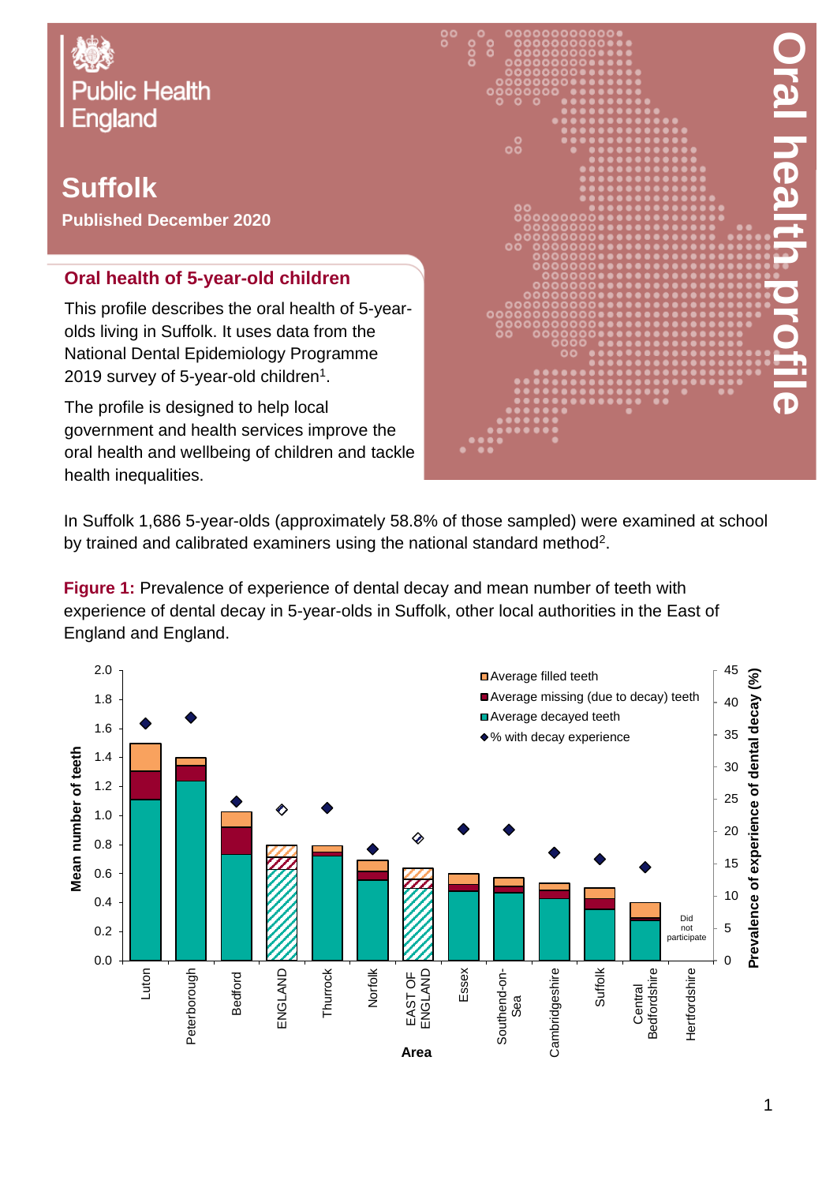

## **Suffolk Published December 2020**

## **Oral health of 5-year-old children**

This profile describes the oral health of 5-yearolds living in Suffolk. It uses data from the National Dental Epidemiology Programme 2019 survey of 5-year-old children $^{\rm 1}.$ 

The profile is designed to help local government and health services improve the oral health and wellbeing of children and tackle health inequalities.



In Suffolk 1,686 5-year-olds (approximately 58.8% of those sampled) were examined at school by trained and calibrated examiners using the national standard method<sup>2</sup>.

**Figure 1:** Prevalence of experience of dental decay and mean number of teeth with experience of dental decay in 5-year-olds in Suffolk, other local authorities in the East of England and England.

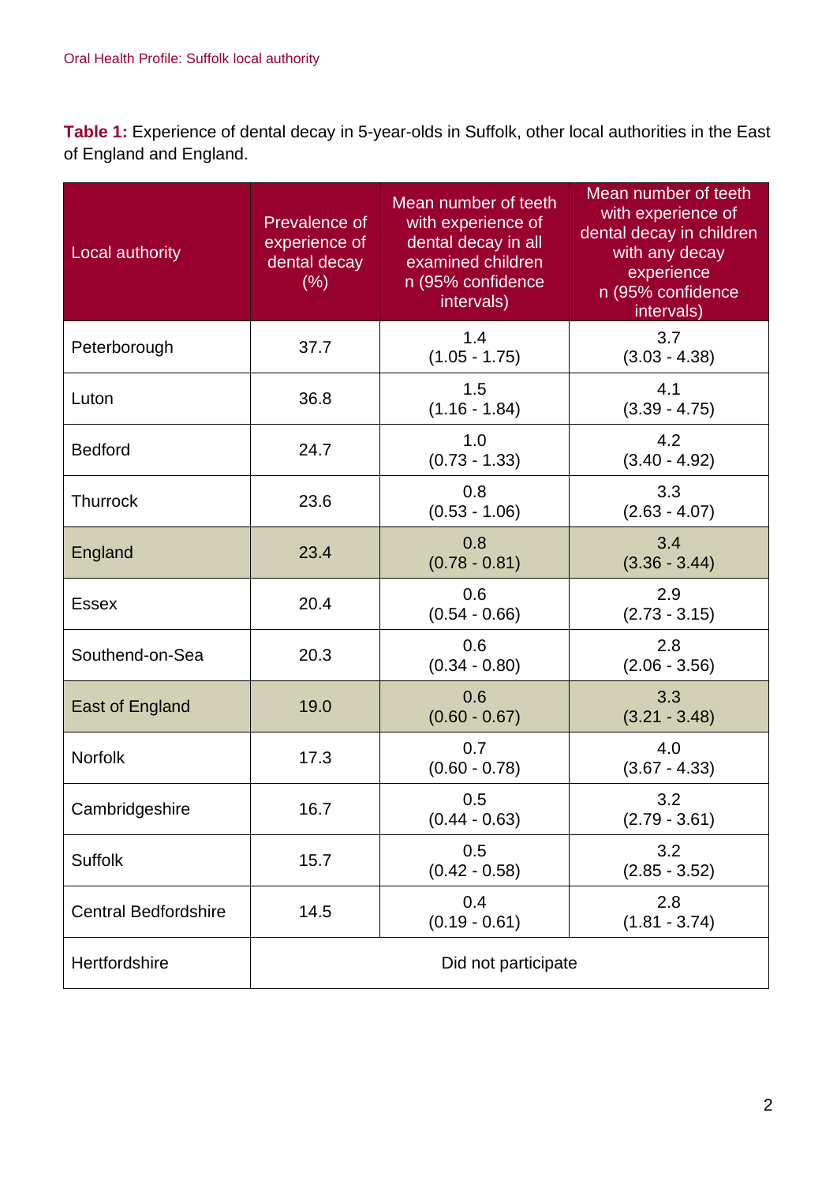**Table 1:** Experience of dental decay in 5-year-olds in Suffolk, other local authorities in the East of England and England.

| Local authority             | Prevalence of<br>experience of<br>dental decay<br>(% ) | Mean number of teeth<br>with experience of<br>dental decay in all<br>examined children<br>n (95% confidence<br>intervals) | Mean number of teeth<br>with experience of<br>dental decay in children<br>with any decay<br>experience<br>n (95% confidence<br>intervals) |
|-----------------------------|--------------------------------------------------------|---------------------------------------------------------------------------------------------------------------------------|-------------------------------------------------------------------------------------------------------------------------------------------|
| Peterborough                | 37.7                                                   | 1.4<br>$(1.05 - 1.75)$                                                                                                    | 3.7<br>$(3.03 - 4.38)$                                                                                                                    |
| Luton                       | 36.8                                                   | 1.5<br>$(1.16 - 1.84)$                                                                                                    | 4.1<br>$(3.39 - 4.75)$                                                                                                                    |
| <b>Bedford</b>              | 24.7                                                   | 1.0<br>$(0.73 - 1.33)$                                                                                                    | 4.2<br>$(3.40 - 4.92)$                                                                                                                    |
| <b>Thurrock</b>             | 23.6                                                   | 0.8<br>$(0.53 - 1.06)$                                                                                                    | 3.3<br>$(2.63 - 4.07)$                                                                                                                    |
| England                     | 23.4                                                   | 0.8<br>$(0.78 - 0.81)$                                                                                                    | 3.4<br>$(3.36 - 3.44)$                                                                                                                    |
| <b>Essex</b>                | 20.4                                                   | 0.6<br>$(0.54 - 0.66)$                                                                                                    | 2.9<br>$(2.73 - 3.15)$                                                                                                                    |
| Southend-on-Sea             | 20.3                                                   | 0.6<br>$(0.34 - 0.80)$                                                                                                    | 2.8<br>$(2.06 - 3.56)$                                                                                                                    |
| East of England             | 19.0                                                   | 0.6<br>$(0.60 - 0.67)$                                                                                                    | 3.3<br>$(3.21 - 3.48)$                                                                                                                    |
| <b>Norfolk</b>              | 17.3                                                   | 0.7<br>$(0.60 - 0.78)$                                                                                                    | 4.0<br>$(3.67 - 4.33)$                                                                                                                    |
| Cambridgeshire              | 16.7                                                   | 0.5<br>$(0.44 - 0.63)$                                                                                                    | 3.2<br>$(2.79 - 3.61)$                                                                                                                    |
| <b>Suffolk</b>              | 15.7                                                   | 0.5<br>$(0.42 - 0.58)$                                                                                                    | 3.2<br>$(2.85 - 3.52)$                                                                                                                    |
| <b>Central Bedfordshire</b> | 14.5                                                   | 0.4<br>$(0.19 - 0.61)$                                                                                                    | 2.8<br>$(1.81 - 3.74)$                                                                                                                    |
| Hertfordshire               | Did not participate                                    |                                                                                                                           |                                                                                                                                           |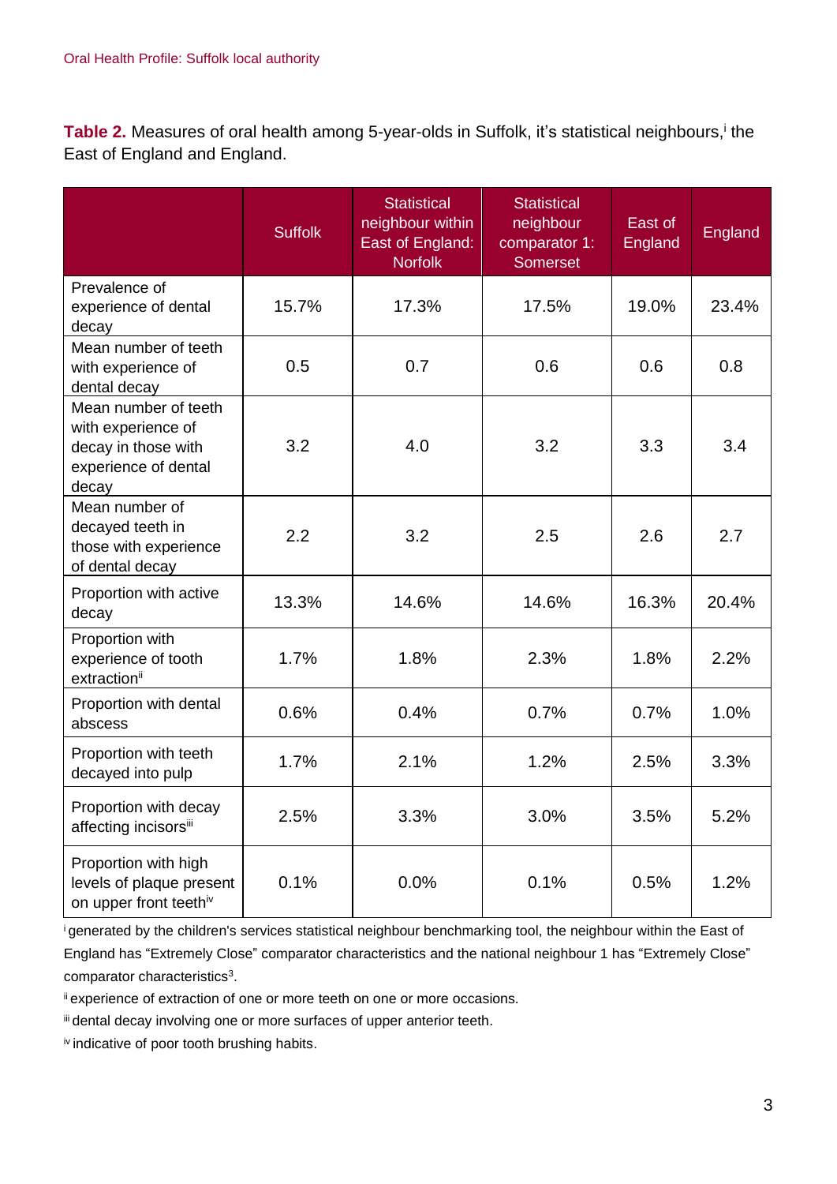Table 2. Measures of oral health among 5-year-olds in Suffolk, it's statistical neighbours,<sup>i</sup> the East of England and England.

|                                                                                                    | <b>Suffolk</b> | <b>Statistical</b><br>neighbour within<br>East of England:<br><b>Norfolk</b> | <b>Statistical</b><br>neighbour<br>comparator 1:<br><b>Somerset</b> | East of<br>England | England |
|----------------------------------------------------------------------------------------------------|----------------|------------------------------------------------------------------------------|---------------------------------------------------------------------|--------------------|---------|
| Prevalence of<br>experience of dental<br>decay                                                     | 15.7%          | 17.3%                                                                        | 17.5%                                                               | 19.0%              | 23.4%   |
| Mean number of teeth<br>with experience of<br>dental decay                                         | 0.5            | 0.7                                                                          | 0.6                                                                 | 0.6                | 0.8     |
| Mean number of teeth<br>with experience of<br>decay in those with<br>experience of dental<br>decay | 3.2            | 4.0                                                                          | 3.2                                                                 | 3.3                | 3.4     |
| Mean number of<br>decayed teeth in<br>those with experience<br>of dental decay                     | 2.2            | 3.2                                                                          | 2.5                                                                 | 2.6                | 2.7     |
| Proportion with active<br>decay                                                                    | 13.3%          | 14.6%                                                                        | 14.6%                                                               | 16.3%              | 20.4%   |
| Proportion with<br>experience of tooth<br>extractionii                                             | 1.7%           | 1.8%                                                                         | 2.3%                                                                | 1.8%               | 2.2%    |
| Proportion with dental<br>abscess                                                                  | 0.6%           | 0.4%                                                                         | 0.7%                                                                | 0.7%               | 1.0%    |
| Proportion with teeth<br>decayed into pulp                                                         | 1.7%           | 2.1%                                                                         | 1.2%                                                                | 2.5%               | 3.3%    |
| Proportion with decay<br>affecting incisorsiii                                                     | 2.5%           | 3.3%                                                                         | 3.0%                                                                | 3.5%               | 5.2%    |
| Proportion with high<br>levels of plaque present<br>on upper front teethiv                         | 0.1%           | 0.0%                                                                         | 0.1%                                                                | 0.5%               | 1.2%    |

<sup>i</sup>generated by the children's services statistical neighbour benchmarking tool, the neighbour within the East of England has "Extremely Close" comparator characteristics and the national neighbour 1 has "Extremely Close" comparator characteristics<sup>3</sup>.

ii experience of extraction of one or more teeth on one or more occasions.

iii dental decay involving one or more surfaces of upper anterior teeth.

iv indicative of poor tooth brushing habits.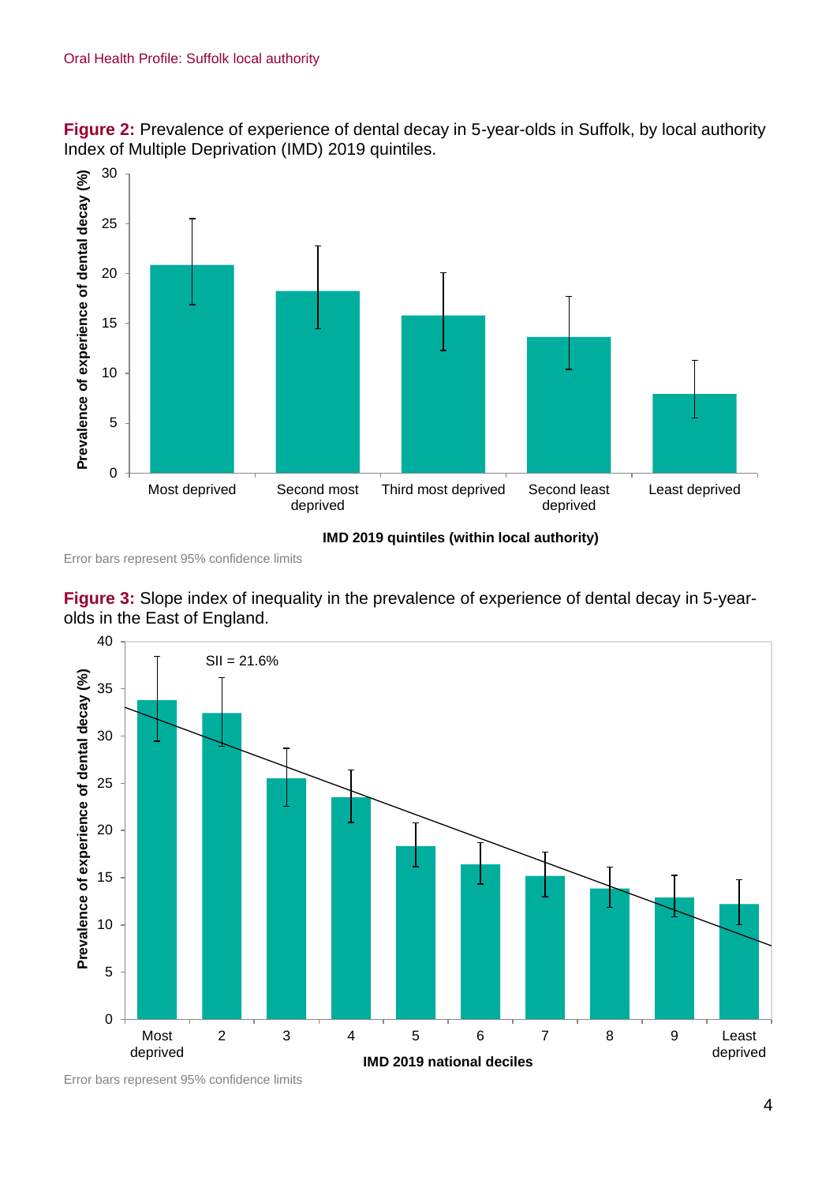



Error bars represent 95% confidence limits





Error bars represent 95% confidence limits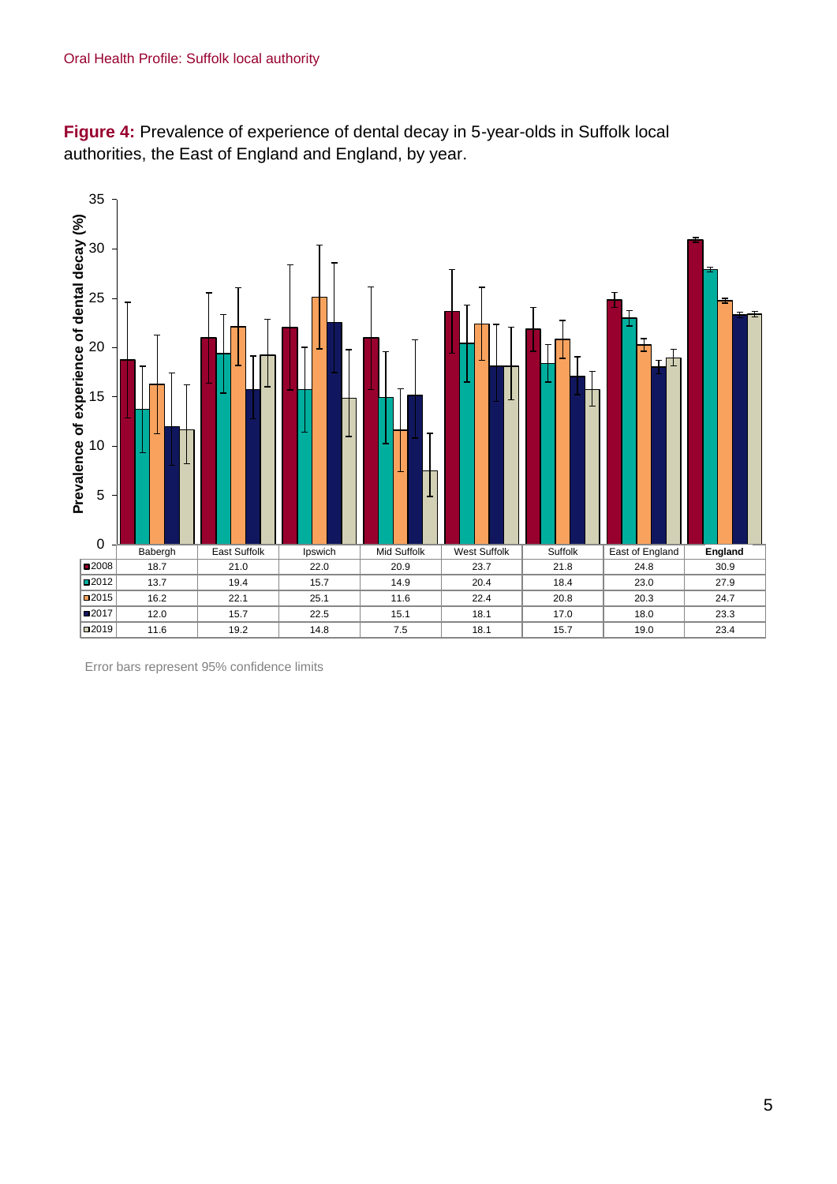



Error bars represent 95% confidence limits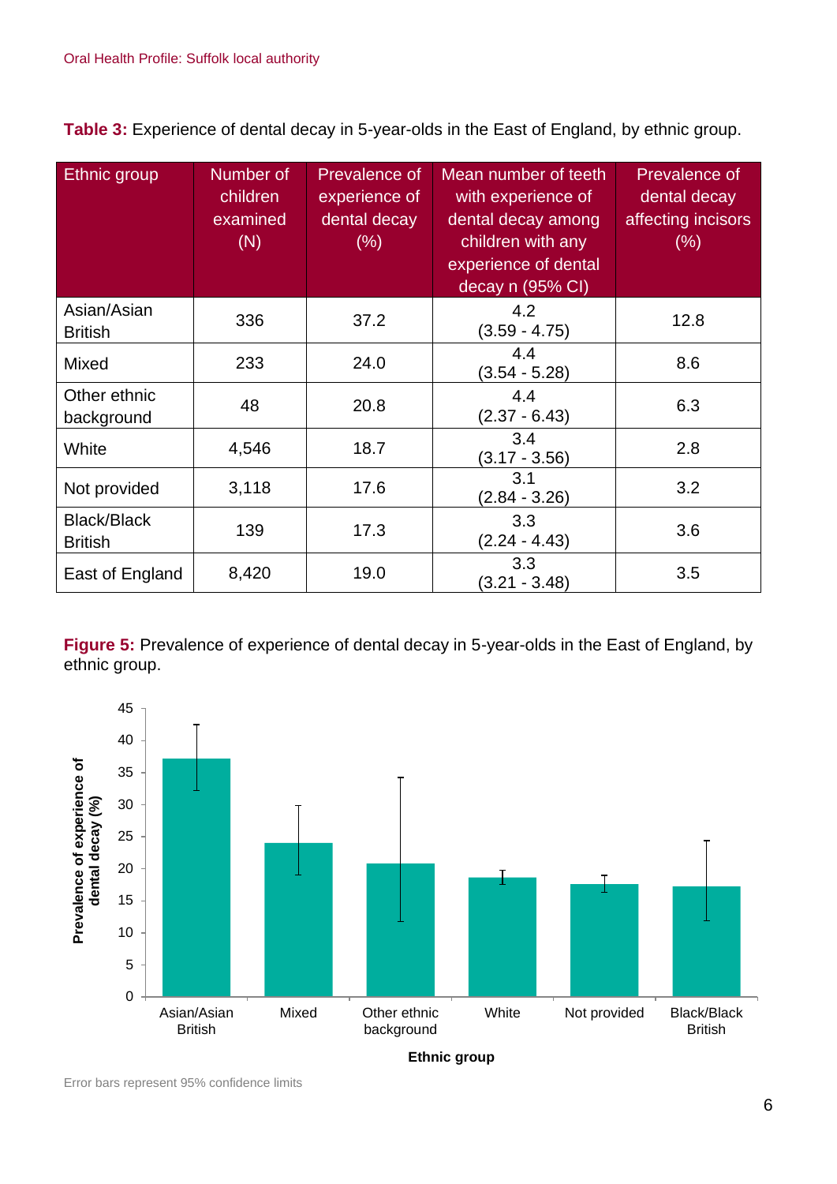**Table 3:** Experience of dental decay in 5-year-olds in the East of England, by ethnic group.

| Ethnic group                         | Number of<br>children<br>examined<br>(N) | Prevalence of<br>experience of<br>dental decay<br>$(\% )$ | Mean number of teeth<br>with experience of<br>dental decay among<br>children with any<br>experience of dental<br>decay n (95% CI) | Prevalence of<br>dental decay<br>affecting incisors<br>$(\% )$ |
|--------------------------------------|------------------------------------------|-----------------------------------------------------------|-----------------------------------------------------------------------------------------------------------------------------------|----------------------------------------------------------------|
| Asian/Asian<br><b>British</b>        | 336                                      | 37.2                                                      | 4.2<br>$(3.59 - 4.75)$                                                                                                            | 12.8                                                           |
| Mixed                                | 233                                      | 24.0                                                      | 4.4<br>$(3.54 - 5.28)$                                                                                                            | 8.6                                                            |
| Other ethnic<br>background           | 48                                       | 20.8                                                      | 4.4<br>$(2.37 - 6.43)$                                                                                                            | 6.3                                                            |
| White                                | 4,546                                    | 18.7                                                      | 3.4<br>$(3.17 - 3.56)$                                                                                                            | 2.8                                                            |
| Not provided                         | 3,118                                    | 17.6                                                      | 3.1<br>$(2.84 - 3.26)$                                                                                                            | 3.2                                                            |
| <b>Black/Black</b><br><b>British</b> | 139                                      | 17.3                                                      | 3.3<br>$(2.24 - 4.43)$                                                                                                            | 3.6                                                            |
| East of England                      | 8,420                                    | 19.0                                                      | 3.3<br>$(3.21 - 3.48)$                                                                                                            | 3.5                                                            |

**Figure 5:** Prevalence of experience of dental decay in 5-year-olds in the East of England, by ethnic group.



Error bars represent 95% confidence limits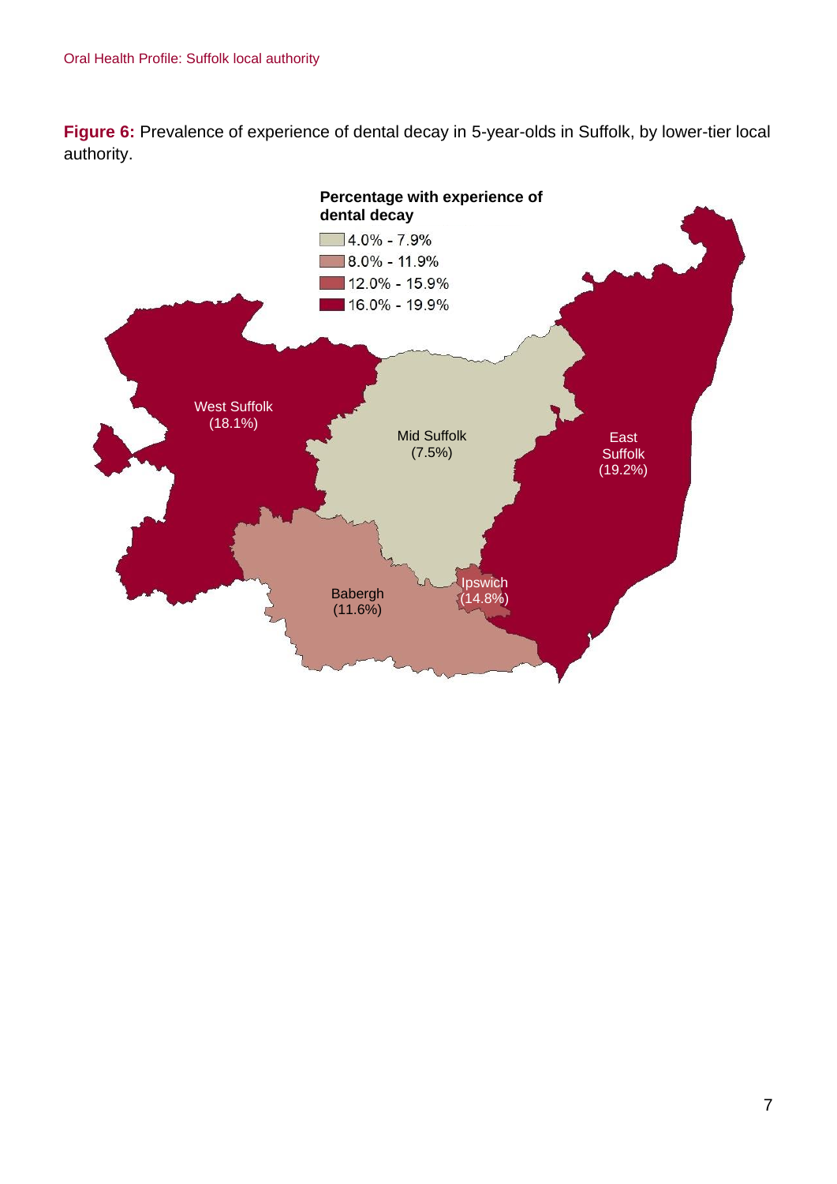**Figure 6:** Prevalence of experience of dental decay in 5-year-olds in Suffolk, by lower-tier local authority.

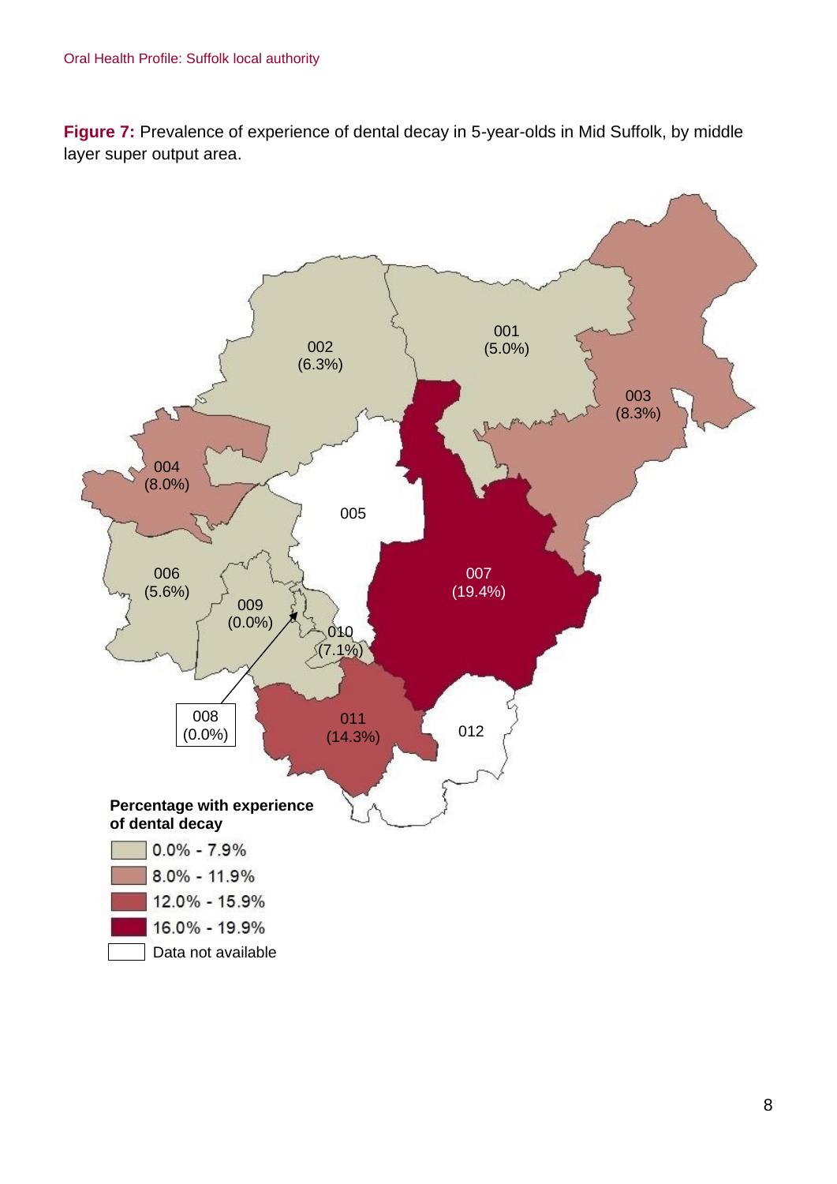**Figure 7:** Prevalence of experience of dental decay in 5-year-olds in Mid Suffolk, by middle layer super output area.

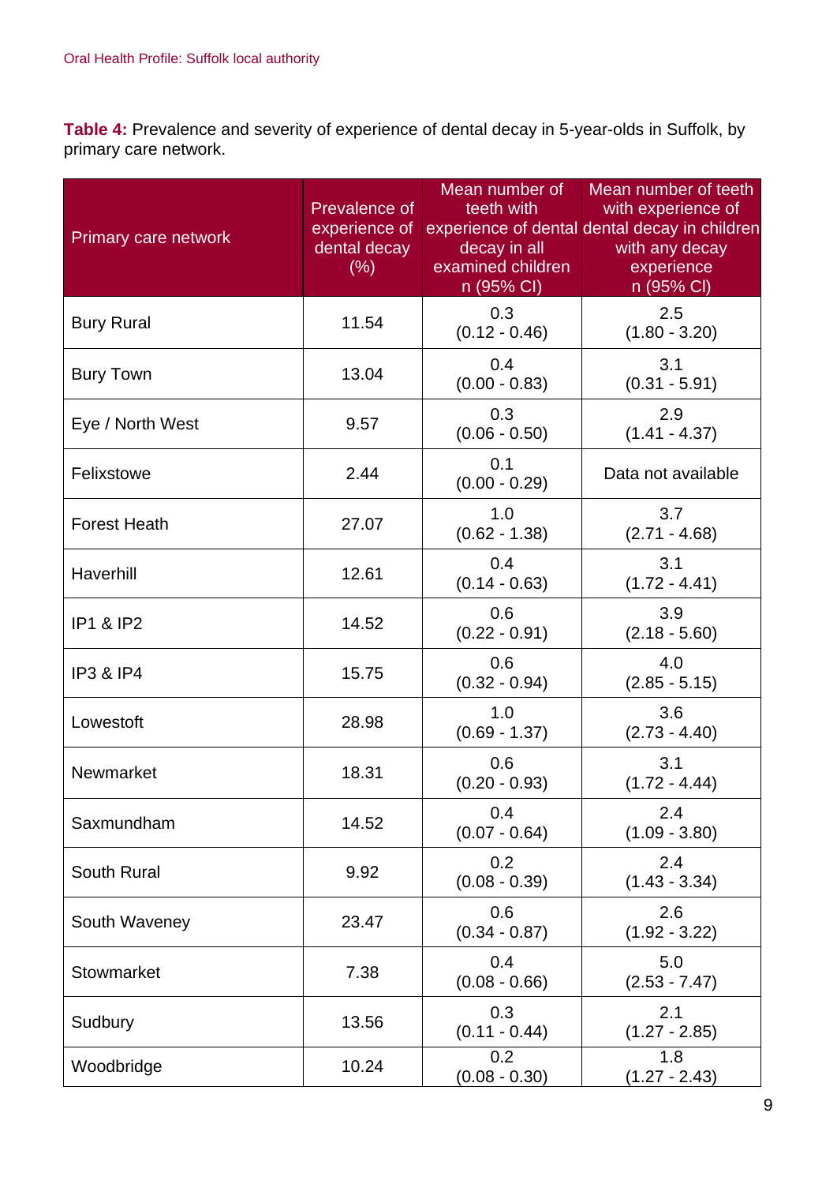**Table 4:** Prevalence and severity of experience of dental decay in 5-year-olds in Suffolk, by primary care network.

| Primary care network | Prevalence of<br>experience of<br>dental decay<br>(% ) | Mean number of<br>teeth with<br>decay in all<br>examined children<br>n (95% CI) | Mean number of teeth<br>with experience of<br>experience of dental dental decay in children<br>with any decay<br>experience<br>n (95% CI) |
|----------------------|--------------------------------------------------------|---------------------------------------------------------------------------------|-------------------------------------------------------------------------------------------------------------------------------------------|
| <b>Bury Rural</b>    | 11.54                                                  | 0.3<br>$(0.12 - 0.46)$                                                          | 2.5<br>$(1.80 - 3.20)$                                                                                                                    |
| <b>Bury Town</b>     | 13.04                                                  | 0.4<br>$(0.00 - 0.83)$                                                          | 3.1<br>$(0.31 - 5.91)$                                                                                                                    |
| Eye / North West     | 9.57                                                   | 0.3<br>$(0.06 - 0.50)$                                                          | 2.9<br>$(1.41 - 4.37)$                                                                                                                    |
| Felixstowe           | 2.44                                                   | 0.1<br>$(0.00 - 0.29)$                                                          | Data not available                                                                                                                        |
| <b>Forest Heath</b>  | 27.07                                                  | 1.0<br>$(0.62 - 1.38)$                                                          | 3.7<br>$(2.71 - 4.68)$                                                                                                                    |
| Haverhill            | 12.61                                                  | 0.4<br>$(0.14 - 0.63)$                                                          | 3.1<br>$(1.72 - 4.41)$                                                                                                                    |
| <b>IP1 &amp; IP2</b> | 14.52                                                  | 0.6<br>$(0.22 - 0.91)$                                                          | 3.9<br>$(2.18 - 5.60)$                                                                                                                    |
| <b>IP3 &amp; IP4</b> | 15.75                                                  | 0.6<br>$(0.32 - 0.94)$                                                          | 4.0<br>$(2.85 - 5.15)$                                                                                                                    |
| Lowestoft            | 28.98                                                  | 1.0<br>$(0.69 - 1.37)$                                                          | 3.6<br>$(2.73 - 4.40)$                                                                                                                    |
| Newmarket            | 18.31                                                  | 0.6<br>$(0.20 - 0.93)$                                                          | 3.1<br>$(1.72 - 4.44)$                                                                                                                    |
| Saxmundham           | 14.52                                                  | 0.4<br>$(0.07 - 0.64)$                                                          | 2.4<br>$(1.09 - 3.80)$                                                                                                                    |
| South Rural          | 9.92                                                   | 0.2<br>$(0.08 - 0.39)$                                                          | 2.4<br>$(1.43 - 3.34)$                                                                                                                    |
| South Waveney        | 23.47                                                  | 0.6<br>$(0.34 - 0.87)$                                                          | 2.6<br>$(1.92 - 3.22)$                                                                                                                    |
| <b>Stowmarket</b>    | 7.38                                                   | 0.4<br>$(0.08 - 0.66)$                                                          | 5.0<br>$(2.53 - 7.47)$                                                                                                                    |
| Sudbury              | 13.56                                                  | 0.3<br>$(0.11 - 0.44)$                                                          | 2.1<br>$(1.27 - 2.85)$                                                                                                                    |
| Woodbridge           | 10.24                                                  | 0.2<br>$(0.08 - 0.30)$                                                          | 1.8<br>$(1.27 - 2.43)$                                                                                                                    |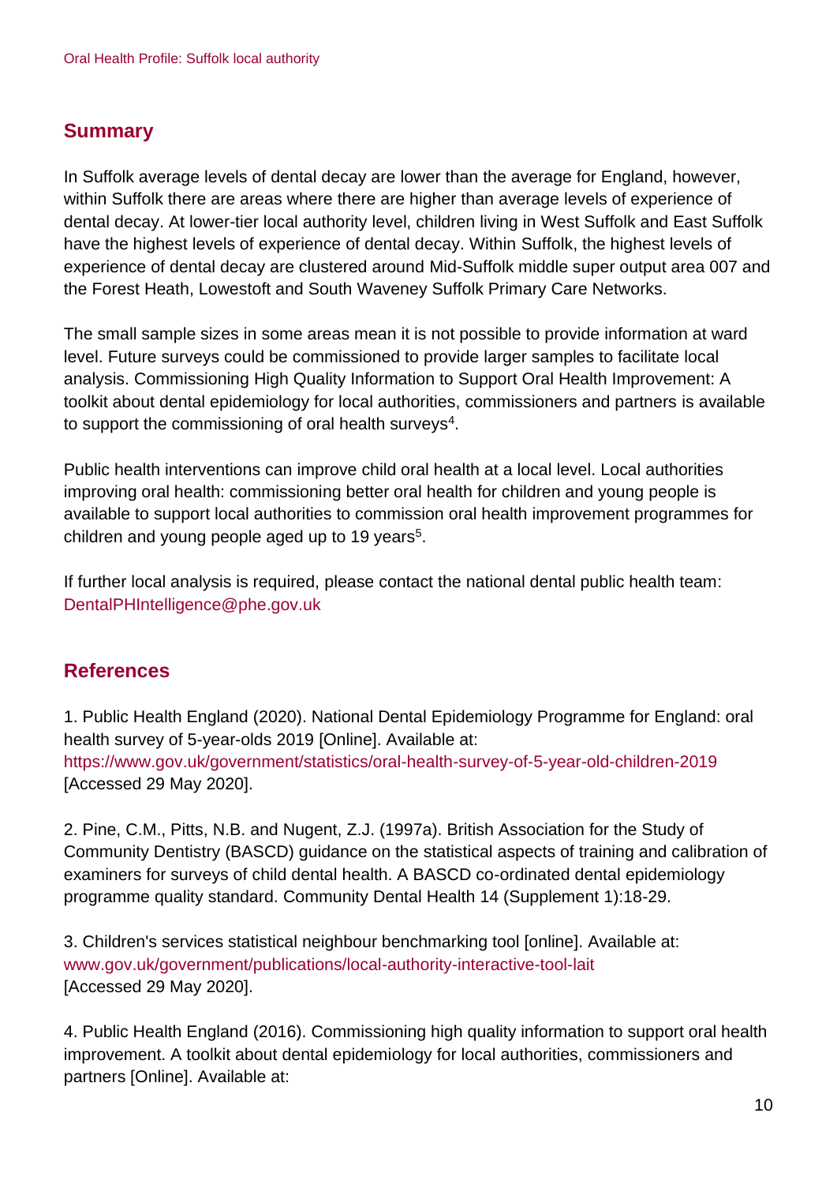## **Summary**

In Suffolk average levels of dental decay are lower than the average for England, however, within Suffolk there are areas where there are higher than average levels of experience of dental decay. At lower-tier local authority level, children living in West Suffolk and East Suffolk have the highest levels of experience of dental decay. Within Suffolk, the highest levels of experience of dental decay are clustered around Mid-Suffolk middle super output area 007 and the Forest Heath, Lowestoft and South Waveney Suffolk Primary Care Networks.

The small sample sizes in some areas mean it is not possible to provide information at ward level. Future surveys could be commissioned to provide larger samples to facilitate local analysis. Commissioning High Quality Information to Support Oral Health Improvement: A toolkit about dental epidemiology for local authorities, commissioners and partners is available to support the commissioning of oral health surveys $^4$ .

Public health interventions can improve child oral health at a local level. Local authorities improving oral health: commissioning better oral health for children and young people is available to support local authorities to commission oral health improvement programmes for children and young people aged up to 19 years<sup>5</sup>.

If further local analysis is required, please contact the national dental public health team: DentalPHIntelligence@phe.gov.uk

## **References**

1. Public Health England (2020). National Dental Epidemiology Programme for England: oral health survey of 5-year-olds 2019 [Online]. Available at: <https://www.gov.uk/government/statistics/oral-health-survey-of-5-year-old-children-2019> [Accessed 29 May 2020].

2. Pine, C.M., Pitts, N.B. and Nugent, Z.J. (1997a). British Association for the Study of Community Dentistry (BASCD) guidance on the statistical aspects of training and calibration of examiners for surveys of child dental health. A BASCD co-ordinated dental epidemiology programme quality standard. Community Dental Health 14 (Supplement 1):18-29.

3. Children's services statistical neighbour benchmarking tool [online]. Available at: [www.gov.uk/government/publications/local-authority-interactive-tool-lait](http://www.gov.uk/government/publications/local-authority-interactive-tool-lait) [Accessed 29 May 2020].

4. Public Health England (2016). Commissioning high quality information to support oral health improvement. A toolkit about dental epidemiology for local authorities, commissioners and partners [Online]. Available at: